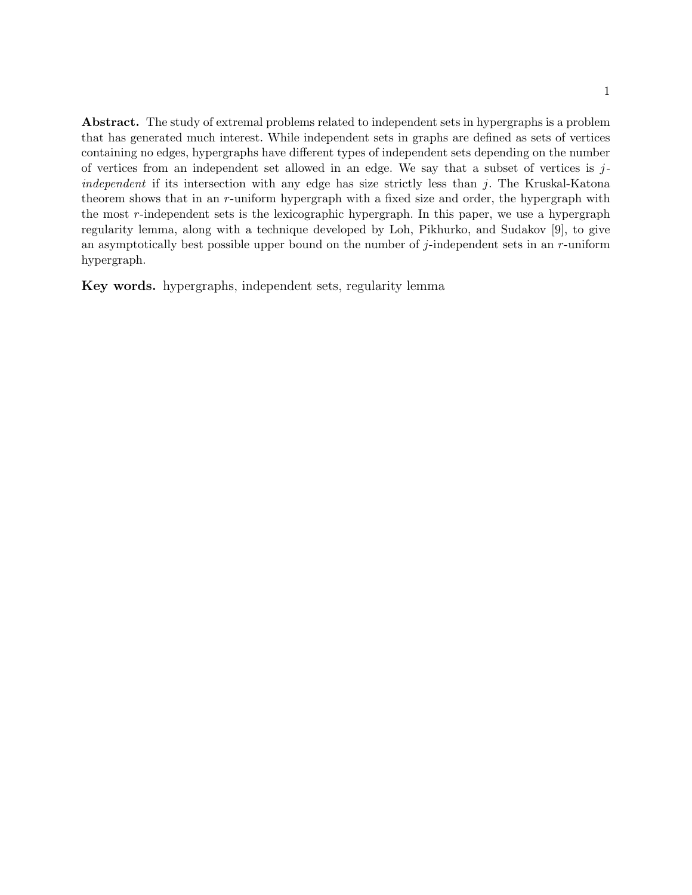Abstract. The study of extremal problems related to independent sets in hypergraphs is a problem that has generated much interest. While independent sets in graphs are defined as sets of vertices containing no edges, hypergraphs have different types of independent sets depending on the number of vertices from an independent set allowed in an edge. We say that a subset of vertices is  $j$ independent if its intersection with any edge has size strictly less than  $j$ . The Kruskal-Katona theorem shows that in an r-uniform hypergraph with a fixed size and order, the hypergraph with the most  $r$ -independent sets is the lexicographic hypergraph. In this paper, we use a hypergraph regularity lemma, along with a technique developed by Loh, Pikhurko, and Sudakov [9], to give an asymptotically best possible upper bound on the number of j-independent sets in an  $r$ -uniform hypergraph.

Key words. hypergraphs, independent sets, regularity lemma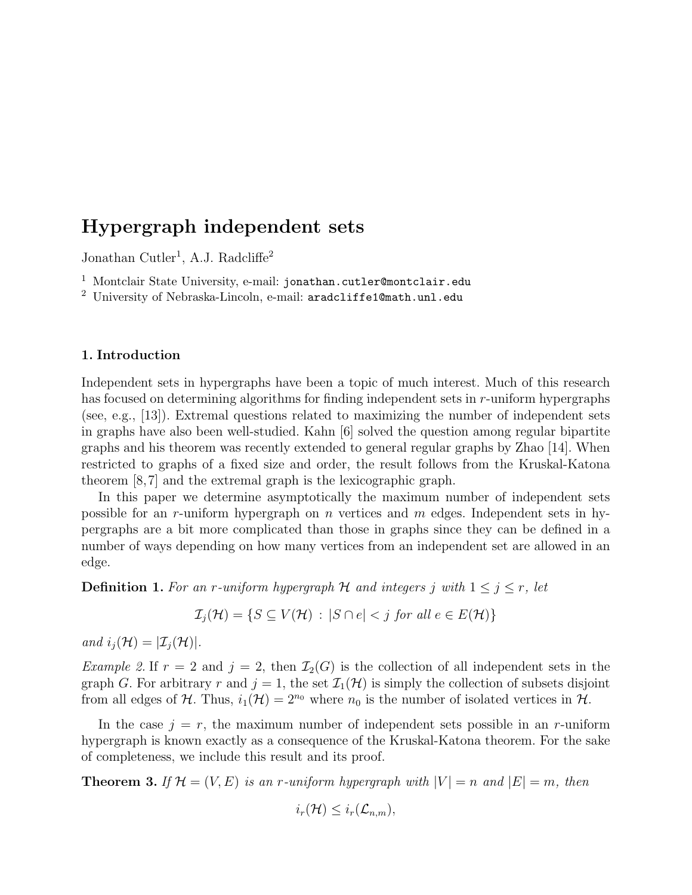Jonathan Cutler<sup>1</sup>, A.J. Radcliffe<sup>2</sup>

 $^1$  Montclair State University, e-mail: jonathan.cutler@montclair.edu

 $^2$ University of Nebraska-Lincoln, e-mail:  $\texttt{aradcliffel@math.unl.edu}$ 

## 1. Introduction

Independent sets in hypergraphs have been a topic of much interest. Much of this research has focused on determining algorithms for finding independent sets in r-uniform hypergraphs (see, e.g., [13]). Extremal questions related to maximizing the number of independent sets in graphs have also been well-studied. Kahn [6] solved the question among regular bipartite graphs and his theorem was recently extended to general regular graphs by Zhao [14]. When restricted to graphs of a fixed size and order, the result follows from the Kruskal-Katona theorem [8,7] and the extremal graph is the lexicographic graph.

In this paper we determine asymptotically the maximum number of independent sets possible for an r-uniform hypergraph on n vertices and m edges. Independent sets in hypergraphs are a bit more complicated than those in graphs since they can be defined in a number of ways depending on how many vertices from an independent set are allowed in an edge.

**Definition 1.** For an r-uniform hypergraph H and integers j with  $1 \leq j \leq r$ , let

$$
\mathcal{I}_j(\mathcal{H}) = \{ S \subseteq V(\mathcal{H}) \, : \, |S \cap e| < j \text{ for all } e \in E(\mathcal{H}) \}
$$

and  $i_i(\mathcal{H}) = |\mathcal{I}_i(\mathcal{H})|$ .

*Example 2.* If  $r = 2$  and  $j = 2$ , then  $\mathcal{I}_2(G)$  is the collection of all independent sets in the graph G. For arbitrary r and  $j = 1$ , the set  $\mathcal{I}_1(\mathcal{H})$  is simply the collection of subsets disjoint from all edges of H. Thus,  $i_1(\mathcal{H}) = 2^{n_0}$  where  $n_0$  is the number of isolated vertices in H.

In the case  $j = r$ , the maximum number of independent sets possible in an r-uniform hypergraph is known exactly as a consequence of the Kruskal-Katona theorem. For the sake of completeness, we include this result and its proof.

**Theorem 3.** If  $\mathcal{H} = (V, E)$  is an r-uniform hypergraph with  $|V| = n$  and  $|E| = m$ , then

$$
i_r(\mathcal{H}) \leq i_r(\mathcal{L}_{n,m}),
$$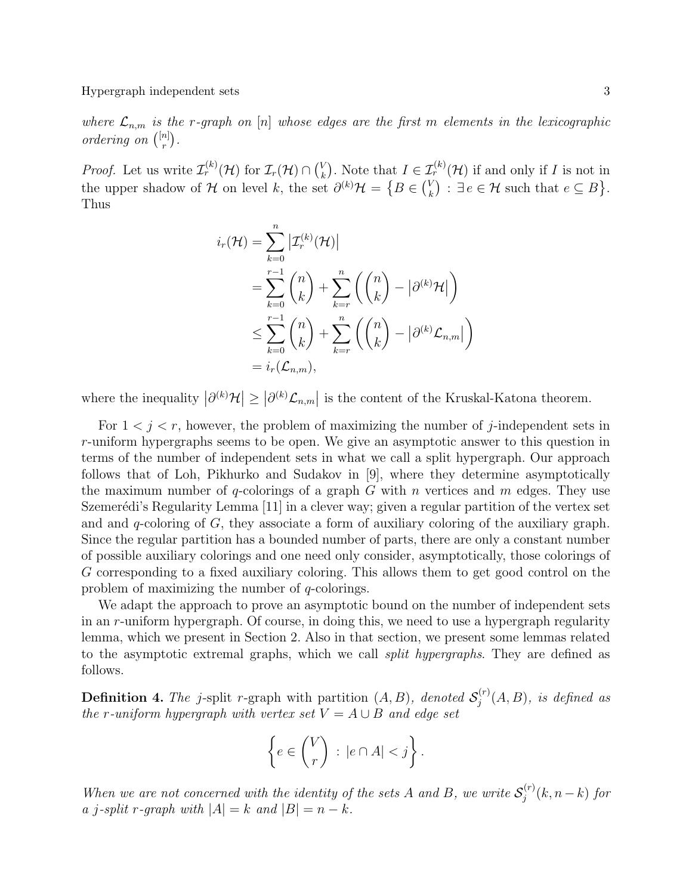where  $\mathcal{L}_{n,m}$  is the r-graph on [n] whose edges are the first m elements in the lexicographic ordering on  $\binom{[n]}{r}$  $\binom{n}{r}$ .

*Proof.* Let us write  $\mathcal{I}_r^{(k)}(\mathcal{H})$  for  $\mathcal{I}_r(\mathcal{H}) \cap {V_k}$  $\mathcal{L}_k^{\{V\}}$ . Note that  $I \in \mathcal{I}_r^{(k)}(\mathcal{H})$  if and only if I is not in the upper shadow of H on level k, the set  $\partial^{(k)}\mathcal{H} = \{B \in {V \choose k}\}$  $\mathcal{H}_k^V$ ) :  $\exists e \in \mathcal{H}$  such that  $e \subseteq B$ . Thus

$$
i_r(\mathcal{H}) = \sum_{k=0}^n |\mathcal{I}_r^{(k)}(\mathcal{H})|
$$
  
= 
$$
\sum_{k=0}^{r-1} {n \choose k} + \sum_{k=r}^n \left({n \choose k} - |\partial^{(k)}\mathcal{H}|\right)
$$
  

$$
\leq \sum_{k=0}^{r-1} {n \choose k} + \sum_{k=r}^n \left({n \choose k} - |\partial^{(k)}\mathcal{L}_{n,m}|\right)
$$
  
= 
$$
i_r(\mathcal{L}_{n,m}),
$$

where the inequality  $|\partial^{(k)}\mathcal{H}| \geq |\partial^{(k)}\mathcal{L}_{n,m}|$  is the content of the Kruskal-Katona theorem.

For  $1 < j < r$ , however, the problem of maximizing the number of j-independent sets in r-uniform hypergraphs seems to be open. We give an asymptotic answer to this question in terms of the number of independent sets in what we call a split hypergraph. Our approach follows that of Loh, Pikhurko and Sudakov in [9], where they determine asymptotically the maximum number of q-colorings of a graph  $G$  with  $n$  vertices and  $m$  edges. They use Szemerédi's Regularity Lemma  $[11]$  in a clever way; given a regular partition of the vertex set and and  $q$ -coloring of  $G$ , they associate a form of auxiliary coloring of the auxiliary graph. Since the regular partition has a bounded number of parts, there are only a constant number of possible auxiliary colorings and one need only consider, asymptotically, those colorings of G corresponding to a fixed auxiliary coloring. This allows them to get good control on the problem of maximizing the number of q-colorings.

We adapt the approach to prove an asymptotic bound on the number of independent sets in an r-uniform hypergraph. Of course, in doing this, we need to use a hypergraph regularity lemma, which we present in Section 2. Also in that section, we present some lemmas related to the asymptotic extremal graphs, which we call *split hypergraphs*. They are defined as follows.

**Definition 4.** The j-split r-graph with partition  $(A, B)$ , denoted  $S_i^{(r)}$  $j^{(r)}(A, B)$ , is defined as the r-uniform hypergraph with vertex set  $V = A \cup B$  and edge set

$$
\left\{ e \in \binom{V}{r} \, : \, |e \cap A| < j \right\}.
$$

When we are not concerned with the identity of the sets A and B, we write  $S_i^{(r)}$  $j^{(r)}(k,n-k)$  for a j-split r-graph with  $|A| = k$  and  $|B| = n - k$ .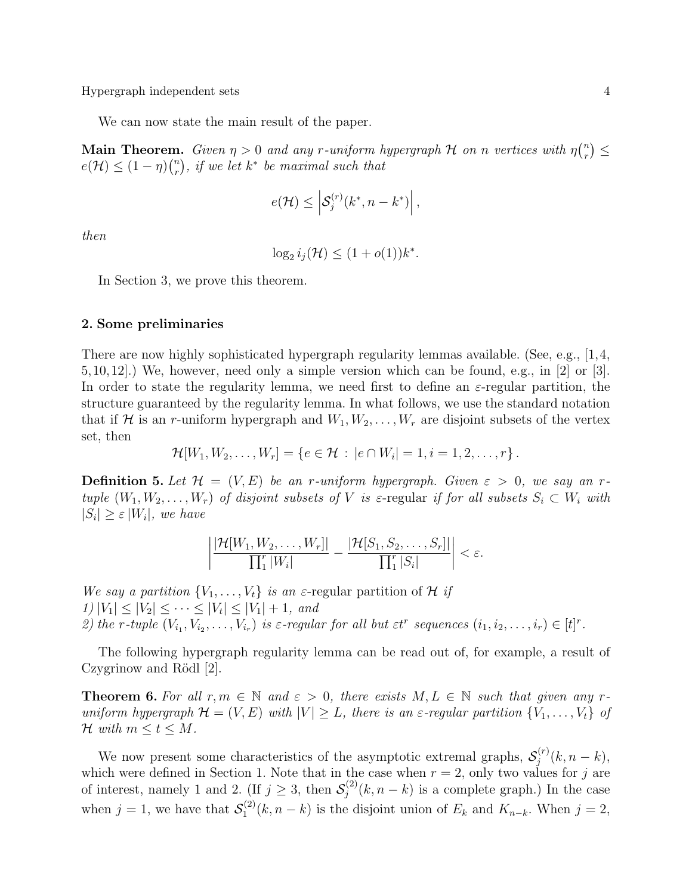We can now state the main result of the paper.

**Main Theorem.** Given  $\eta > 0$  and any r-uniform hypergraph H on n vertices with  $\eta \binom{n}{r}$  $\binom{n}{r} \leq$  $e(\mathcal{H}) \leq (1-\eta)\binom{n}{r}$  $\binom{n}{r},$  if we let  $k^*$  be maximal such that

$$
e(\mathcal{H}) \leq \left| \mathcal{S}_j^{(r)}(k^*, n - k^*) \right|,
$$

then

$$
\log_2 i_j(\mathcal{H}) \le (1 + o(1))k^*.
$$

In Section 3, we prove this theorem.

#### 2. Some preliminaries

There are now highly sophisticated hypergraph regularity lemmas available. (See, e.g., [1,4, 5,10,12].) We, however, need only a simple version which can be found, e.g., in [2] or [3]. In order to state the regularity lemma, we need first to define an  $\varepsilon$ -regular partition, the structure guaranteed by the regularity lemma. In what follows, we use the standard notation that if H is an r-uniform hypergraph and  $W_1, W_2, \ldots, W_r$  are disjoint subsets of the vertex set, then

$$
\mathcal{H}[W_1, W_2, \ldots, W_r] = \{e \in \mathcal{H} : |e \cap W_i| = 1, i = 1, 2, \ldots, r\}.
$$

**Definition 5.** Let  $\mathcal{H} = (V, E)$  be an r-uniform hypergraph. Given  $\varepsilon > 0$ , we say an rtuple  $(W_1, W_2, \ldots, W_r)$  of disjoint subsets of V is  $\varepsilon$ -regular if for all subsets  $S_i \subset W_i$  with  $|S_i| \geq \varepsilon |W_i|$ , we have

$$
\left|\frac{|\mathcal{H}[W_1, W_2, \dots, W_r]|}{\prod_1^r |W_i|} - \frac{|\mathcal{H}[S_1, S_2, \dots, S_r]|}{\prod_1^r |S_i|}\right| < \varepsilon.
$$

We say a partition  $\{V_1, \ldots, V_t\}$  is an  $\varepsilon$ -regular partition of H if  $1) |V_1| \leq |V_2| \leq \cdots \leq |V_t| \leq |V_1| + 1$ , and 2) the r-tuple  $(V_{i_1}, V_{i_2}, \ldots, V_{i_r})$  is  $\varepsilon$ -regular for all but  $\varepsilon t^r$  sequences  $(i_1, i_2, \ldots, i_r) \in [t]^r$ .

The following hypergraph regularity lemma can be read out of, for example, a result of Czygrinow and Rödl  $[2]$ .

**Theorem 6.** For all  $r, m \in \mathbb{N}$  and  $\varepsilon > 0$ , there exists  $M, L \in \mathbb{N}$  such that given any runiform hypergraph  $\mathcal{H} = (V, E)$  with  $|V| \geq L$ , there is an  $\varepsilon$ -regular partition  $\{V_1, \ldots, V_t\}$  of H with  $m \leq t \leq M$ .

We now present some characteristics of the asymptotic extremal graphs,  $S_i^{(r)}$  $j^{(r)}(k, n-k),$ which were defined in Section 1. Note that in the case when  $r = 2$ , only two values for j are of interest, namely 1 and 2. (If  $j \geq 3$ , then  $\mathcal{S}_i^{(2)}$  $j^{(2)}(k,n-k)$  is a complete graph.) In the case when  $j = 1$ , we have that  $\mathcal{S}_1^{(2)}$  $I_1^{(2)}(k, n-k)$  is the disjoint union of  $E_k$  and  $K_{n-k}$ . When  $j=2$ ,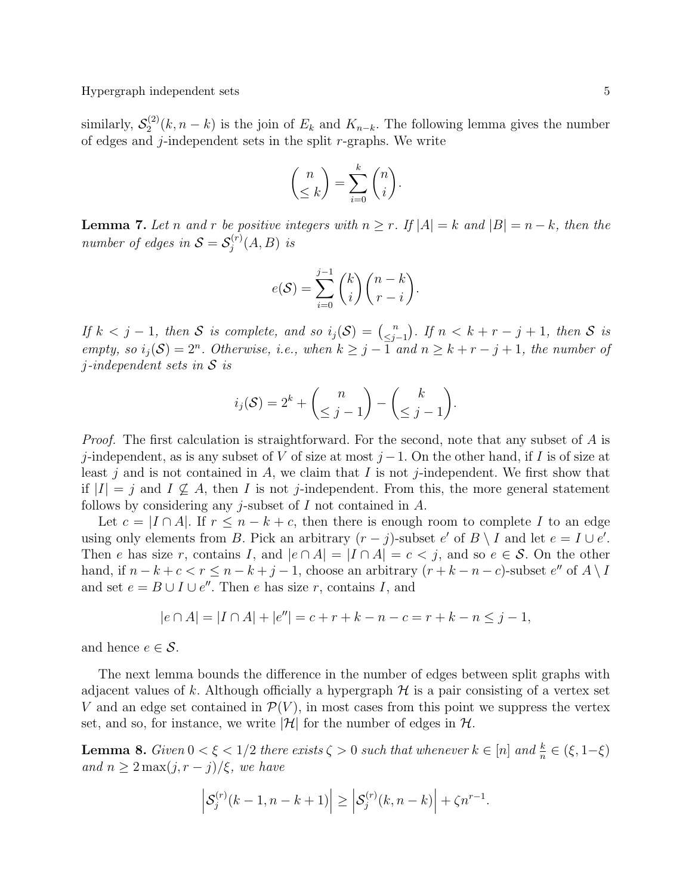similarly,  $\mathcal{S}_2^{(2)}$  $Z_2^{(2)}(k,n-k)$  is the join of  $E_k$  and  $K_{n-k}$ . The following lemma gives the number of edges and  $j$ -independent sets in the split  $r$ -graphs. We write

$$
\binom{n}{\leq k} = \sum_{i=0}^{k} \binom{n}{i}.
$$

**Lemma 7.** Let n and r be positive integers with  $n \ge r$ . If  $|A| = k$  and  $|B| = n - k$ , then the number of edges in  $S = S_i^{(r)}$  $j^{(r)}(A,B)$  is

$$
e(S) = \sum_{i=0}^{j-1} {k \choose i} {n-k \choose r-i}.
$$

If  $k < j - 1$ , then S is complete, and so  $i_j(\mathcal{S}) = {n \choose \leq i}$  $\binom{n}{j-1}$ . If  $n < k + r - j + 1$ , then S is empty, so  $i_j(\mathcal{S}) = 2^n$ . Otherwise, i.e., when  $k \geq j - \overline{1}$  and  $n \geq k + r - j + 1$ , the number of  $j$ -independent sets in S is

$$
i_j(\mathcal{S}) = 2^k + \binom{n}{\leq j-1} - \binom{k}{\leq j-1}.
$$

Proof. The first calculation is straightforward. For the second, note that any subset of A is j-independent, as is any subset of V of size at most  $j-1$ . On the other hand, if I is of size at least j and is not contained in A, we claim that I is not j-independent. We first show that if  $|I| = j$  and  $I \nsubseteq A$ , then I is not j-independent. From this, the more general statement follows by considering any *j*-subset of  $I$  not contained in  $A$ .

Let  $c = |I \cap A|$ . If  $r \leq n - k + c$ , then there is enough room to complete I to an edge using only elements from B. Pick an arbitrary  $(r - j)$ -subset e' of  $B \setminus I$  and let  $e = I \cup e'$ . Then e has size r, contains I, and  $|e \cap A| = |I \cap A| = c < j$ , and so  $e \in S$ . On the other hand, if  $n - k + c < r \leq n - k + j - 1$ , choose an arbitrary  $(r + k - n - c)$ -subset  $e''$  of  $A \setminus B$ and set  $e = B \cup I \cup e''$ . Then e has size r, contains I, and

$$
|e \cap A| = |I \cap A| + |e''| = c + r + k - n - c = r + k - n \le j - 1,
$$

and hence  $e \in \mathcal{S}$ .

The next lemma bounds the difference in the number of edges between split graphs with adjacent values of k. Although officially a hypergraph  $H$  is a pair consisting of a vertex set V and an edge set contained in  $\mathcal{P}(V)$ , in most cases from this point we suppress the vertex set, and so, for instance, we write  $|\mathcal{H}|$  for the number of edges in  $\mathcal{H}$ .

**Lemma 8.** Given  $0 < \xi < 1/2$  there exists  $\zeta > 0$  such that whenever  $k \in [n]$  and  $\frac{k}{n} \in (\xi, 1-\xi)$ and  $n \geq 2 \max(j, r - j)/\xi$ , we have

$$
\left|S_j^{(r)}(k-1, n-k+1)\right| \ge \left|S_j^{(r)}(k, n-k)\right| + \zeta n^{r-1}.
$$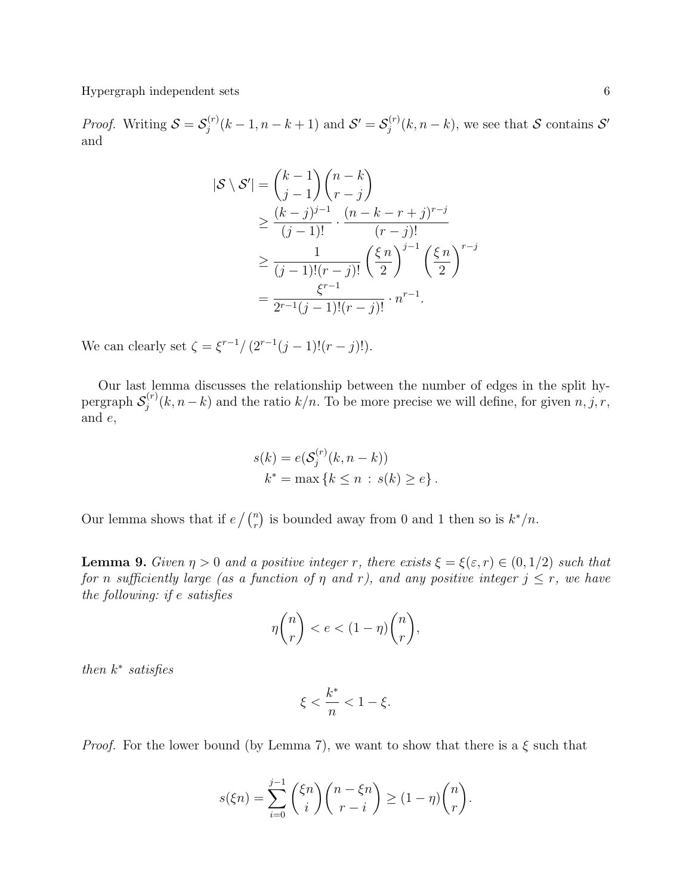*Proof.* Writing  $S = S_i^{(r)}$  $j_j^{(r)}(k-1, n-k+1)$  and  $S' = S_j^{(r)}$  $j^{(r)}(k, n-k)$ , we see that S contains S' and

$$
|\mathcal{S} \setminus \mathcal{S}'| = {k-1 \choose j-1} {n-k \choose r-j}
$$
  
\n
$$
\geq \frac{(k-j)^{j-1}}{(j-1)!} \cdot \frac{(n-k-r+j)^{r-j}}{(r-j)!}
$$
  
\n
$$
\geq \frac{1}{(j-1)!(r-j)!} \left(\frac{\xi n}{2}\right)^{j-1} \left(\frac{\xi n}{2}\right)^{r-j}
$$
  
\n
$$
= \frac{\xi^{r-1}}{2^{r-1}(j-1)!(r-j)!} \cdot n^{r-1}.
$$

We can clearly set  $\zeta = \xi^{r-1}/(2^{r-1}(j-1)!(r-j)!)$ .

Our last lemma discusses the relationship between the number of edges in the split hypergraph  $\mathcal{S}_i^{(r)}$  $j^{(r)}(k, n-k)$  and the ratio  $k/n$ . To be more precise we will define, for given  $n, j, r$ , and e,

$$
s(k) = e(S_j^{(r)}(k, n - k))
$$
  

$$
k^* = \max\{k \le n : s(k) \ge e\}.
$$

Our lemma shows that if  $e \nvert \binom{n}{r}$  is bounded away from 0 and 1 then so is  $k^*/n$ .

**Lemma 9.** Given  $\eta > 0$  and a positive integer r, there exists  $\xi = \xi(\varepsilon, r) \in (0, 1/2)$  such that for n sufficiently large (as a function of  $\eta$  and  $r$ ), and any positive integer  $j \leq r$ , we have the following: if e satisfies

$$
\eta \binom{n}{r} < e < (1 - \eta) \binom{n}{r},
$$

then  $k^*$  satisfies

$$
\xi < \frac{k^*}{n} < 1 - \xi.
$$

*Proof.* For the lower bound (by Lemma 7), we want to show that there is a  $\xi$  such that

$$
s(\xi n) = \sum_{i=0}^{j-1} {\binom{\xi n}{i}} {\binom{n-\xi n}{r-i}} \ge (1-\eta){\binom{n}{r}}.
$$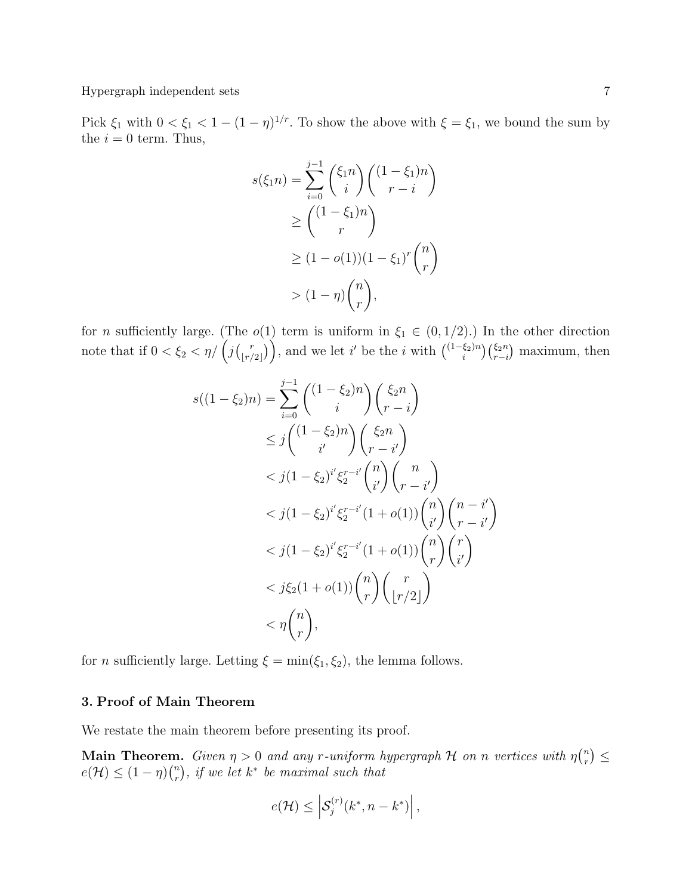Pick  $\xi_1$  with  $0 < \xi_1 < 1 - (1 - \eta)^{1/r}$ . To show the above with  $\xi = \xi_1$ , we bound the sum by the  $i = 0$  term. Thus,

$$
s(\xi_1 n) = \sum_{i=0}^{j-1} {\xi_1 n \choose i} {\left(1 - \xi_1\right)n \choose r - i}
$$
  
\n
$$
\ge {\left(1 - \xi_1\right)n \choose r}
$$
  
\n
$$
\ge (1 - o(1))(1 - \xi_1)^r {n \choose r}
$$
  
\n
$$
> (1 - \eta){n \choose r},
$$

for *n* sufficiently large. (The  $o(1)$  term is uniform in  $\xi_1 \in (0, 1/2)$ .) In the other direction note that if  $0 < \xi_2 < \eta / \left( \int_{r}^{r}$  $\binom{r}{\lfloor r/2 \rfloor}$ , and we let i' be the i with  $\binom{(1-\xi_2)n}{i}$  $\binom{\xi_2 n}{i} \binom{\xi_2 n}{r-i}$  maximum, then

$$
s((1 - \xi_2)n) = \sum_{i=0}^{j-1} \binom{(1 - \xi_2)n}{i} \binom{\xi_2 n}{r - i}
$$
  
\n
$$
\leq j \binom{(1 - \xi_2)n}{i'} \binom{\xi_2 n}{r - i'}
$$
  
\n
$$
< j(1 - \xi_2)^{i'} \xi_2^{r - i'} \binom{n}{i'} \binom{n}{r - i'}
$$
  
\n
$$
< j(1 - \xi_2)^{i'} \xi_2^{r - i'} (1 + o(1)) \binom{n}{i'} \binom{n - i'}{r - i'}
$$
  
\n
$$
< j(1 - \xi_2)^{i'} \xi_2^{r - i'} (1 + o(1)) \binom{n}{r} \binom{r}{i'}
$$
  
\n
$$
< j\xi_2 (1 + o(1)) \binom{n}{r} \binom{r}{\lfloor r/2 \rfloor}
$$
  
\n
$$
< \eta \binom{n}{r},
$$

for *n* sufficiently large. Letting  $\xi = \min(\xi_1, \xi_2)$ , the lemma follows.

# 3. Proof of Main Theorem

We restate the main theorem before presenting its proof.

**Main Theorem.** Given  $\eta > 0$  and any r-uniform hypergraph H on n vertices with  $\eta \binom{n}{r}$  $\binom{n}{r} \leq$  $e(\mathcal{H}) \leq (1-\eta)\binom{n}{r}$  $\binom{n}{r},$  if we let  $k^*$  be maximal such that

$$
e(\mathcal{H}) \leq \left| \mathcal{S}_j^{(r)}(k^*, n - k^*) \right|,
$$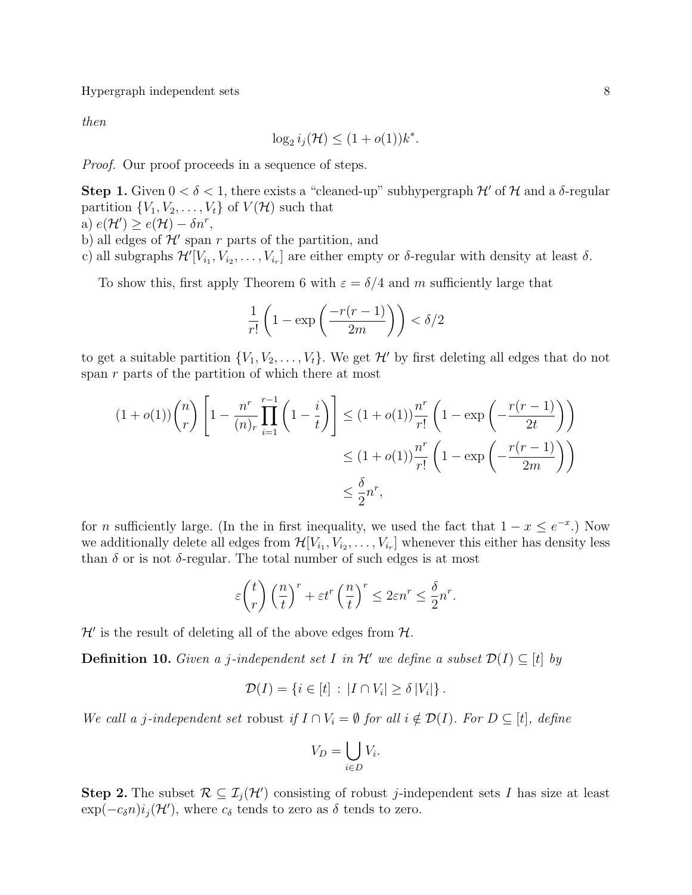then

$$
\log_2 i_j(\mathcal{H}) \le (1 + o(1))k^*
$$

.

*Proof.* Our proof proceeds in a sequence of steps.

**Step 1.** Given  $0 < \delta < 1$ , there exists a "cleaned-up" subhypergraph  $\mathcal{H}'$  of  $\mathcal{H}$  and a  $\delta$ -regular partition  $\{V_1, V_2, \ldots, V_t\}$  of  $V(\mathcal{H})$  such that

- a)  $e(\mathcal{H}') \ge e(\mathcal{H}) \delta n^r$ ,
- b) all edges of  $\mathcal{H}'$  span r parts of the partition, and
- c) all subgraphs  $\mathcal{H}'[V_{i_1}, V_{i_2}, \ldots, V_{i_r}]$  are either empty or  $\delta$ -regular with density at least  $\delta$ .

To show this, first apply Theorem 6 with  $\varepsilon = \delta/4$  and m sufficiently large that

$$
\frac{1}{r!} \left( 1 - \exp\left(\frac{-r(r-1)}{2m}\right) \right) < \delta/2
$$

to get a suitable partition  $\{V_1, V_2, \ldots, V_t\}$ . We get  $\mathcal{H}'$  by first deleting all edges that do not span r parts of the partition of which there at most

$$
(1+o(1))\binom{n}{r}\left[1-\frac{n^r}{(n)_r}\prod_{i=1}^{r-1}\left(1-\frac{i}{t}\right)\right] \leq (1+o(1))\frac{n^r}{r!}\left(1-\exp\left(-\frac{r(r-1)}{2t}\right)\right)
$$

$$
\leq (1+o(1))\frac{n^r}{r!}\left(1-\exp\left(-\frac{r(r-1)}{2m}\right)\right)
$$

$$
\leq \frac{\delta}{2}n^r,
$$

for *n* sufficiently large. (In the in first inequality, we used the fact that  $1 - x \leq e^{-x}$ .) Now we additionally delete all edges from  $\mathcal{H}[V_{i_1}, V_{i_2}, \ldots, V_{i_r}]$  whenever this either has density less than  $\delta$  or is not  $\delta$ -regular. The total number of such edges is at most

$$
\varepsilon \binom{t}{r} \left(\frac{n}{t}\right)^r + \varepsilon t^r \left(\frac{n}{t}\right)^r \le 2\varepsilon n^r \le \frac{\delta}{2} n^r.
$$

 $\mathcal{H}'$  is the result of deleting all of the above edges from  $\mathcal{H}$ .

**Definition 10.** Given a j-independent set I in  $\mathcal{H}'$  we define a subset  $\mathcal{D}(I) \subseteq [t]$  by

$$
\mathcal{D}(I) = \{i \in [t] : |I \cap V_i| \ge \delta |V_i|\}.
$$

We call a j-independent set robust if  $I \cap V_i = \emptyset$  for all  $i \notin \mathcal{D}(I)$ . For  $D \subseteq [t]$ , define

$$
V_D = \bigcup_{i \in D} V_i.
$$

**Step 2.** The subset  $\mathcal{R} \subseteq \mathcal{I}_j(\mathcal{H}')$  consisting of robust j-independent sets I has size at least  $\exp(-c_{\delta}n)i_j(\mathcal{H}')$ , where  $c_{\delta}$  tends to zero as  $\delta$  tends to zero.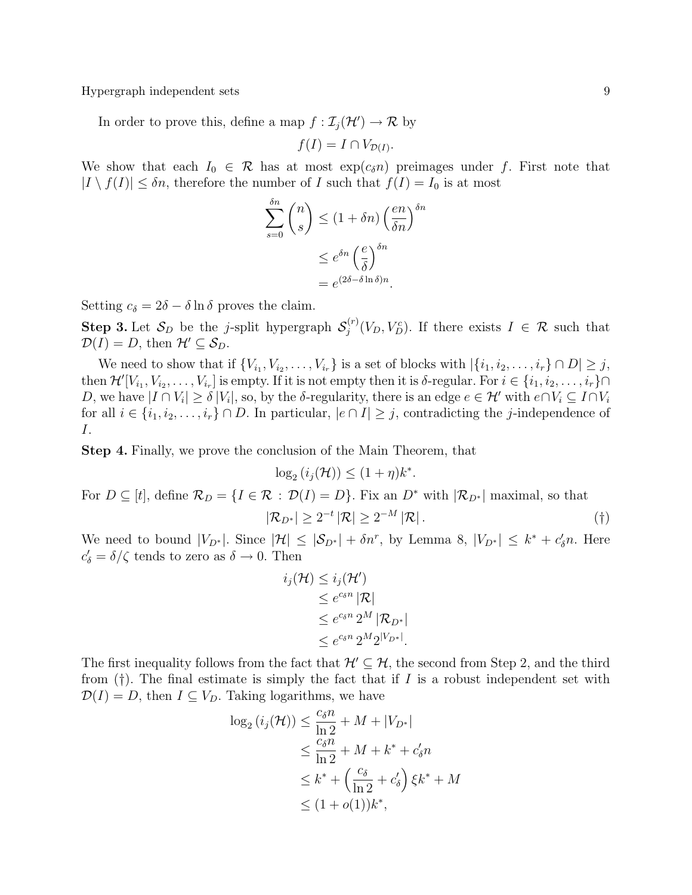In order to prove this, define a map  $f : \mathcal{I}_j(\mathcal{H}') \to \mathcal{R}$  by

$$
f(I) = I \cap V_{\mathcal{D}(I)}.
$$

We show that each  $I_0 \in \mathcal{R}$  has at most  $\exp(c_{\delta}n)$  preimages under f. First note that  $|I \setminus f(I)| \leq \delta n$ , therefore the number of I such that  $f(I) = I_0$  is at most

$$
\sum_{s=0}^{\delta n} \binom{n}{s} \le (1 + \delta n) \left(\frac{en}{\delta n}\right)^{\delta n}
$$

$$
\le e^{\delta n} \left(\frac{e}{\delta}\right)^{\delta n}
$$

$$
= e^{(2\delta - \delta \ln \delta)n}.
$$

Setting  $c_{\delta} = 2\delta - \delta \ln \delta$  proves the claim.

**Step 3.** Let  $S_D$  be the j-split hypergraph  $S_i^{(r)}$  $j^{(r)}(V_D, V_D^c)$ . If there exists  $I \in \mathcal{R}$  such that  $\mathcal{D}(I) = D$ , then  $\mathcal{H}' \subseteq \mathcal{S}_D$ .

We need to show that if  $\{V_{i_1}, V_{i_2}, \ldots, V_{i_r}\}$  is a set of blocks with  $|\{i_1, i_2, \ldots, i_r\} \cap D| \geq j$ , then  $\mathcal{H}'[V_{i_1}, V_{i_2}, \ldots, V_{i_r}]$  is empty. If it is not empty then it is  $\delta$ -regular. For  $i \in \{i_1, i_2, \ldots, i_r\} \cap$ D, we have  $|I \cap V_i| \ge \delta |V_i|$ , so, by the δ-regularity, there is an edge  $e \in \mathcal{H}'$  with  $e \cap V_i \subseteq I \cap V_i$ for all  $i \in \{i_1, i_2, \ldots, i_r\} \cap D$ . In particular,  $|e \cap I| \geq j$ , contradicting the *j*-independence of I.

Step 4. Finally, we prove the conclusion of the Main Theorem, that

$$
\log_2(i_j(\mathcal{H})) \le (1+\eta)k^*.
$$

For  $D \subseteq [t]$ , define  $\mathcal{R}_D = \{I \in \mathcal{R} : \mathcal{D}(I) = D\}$ . Fix an  $D^*$  with  $|\mathcal{R}_{D^*}|$  maximal, so that

$$
|\mathcal{R}_{D^*}| \ge 2^{-t} |\mathcal{R}| \ge 2^{-M} |\mathcal{R}|.
$$

We need to bound  $|V_{D^*}|$ . Since  $|\mathcal{H}| \leq |\mathcal{S}_{D^*}| + \delta n^r$ , by Lemma 8,  $|V_{D^*}| \leq k^* + c'_\delta n$ . Here  $c'_{\delta} = \delta/\zeta$  tends to zero as  $\delta \to 0$ . Then

$$
i_j(\mathcal{H}) \leq i_j(\mathcal{H}')
$$
  
\n
$$
\leq e^{c_{\delta}n} |\mathcal{R}|
$$
  
\n
$$
\leq e^{c_{\delta}n} 2^M |\mathcal{R}_{D^*}|
$$
  
\n
$$
\leq e^{c_{\delta}n} 2^M 2^{|V_{D^*}|}.
$$

The first inequality follows from the fact that  $\mathcal{H}' \subseteq \mathcal{H}$ , the second from Step 2, and the third from  $(†)$ . The final estimate is simply the fact that if I is a robust independent set with  $\mathcal{D}(I) = D$ , then  $I \subseteq V_D$ . Taking logarithms, we have

$$
\log_2(i_j(\mathcal{H})) \le \frac{c_\delta n}{\ln 2} + M + |V_{D^*}|
$$
  
\n
$$
\le \frac{c_\delta n}{\ln 2} + M + k^* + c'_\delta n
$$
  
\n
$$
\le k^* + \left(\frac{c_\delta}{\ln 2} + c'_\delta\right) \xi k^* + M
$$
  
\n
$$
\le (1 + o(1))k^*,
$$